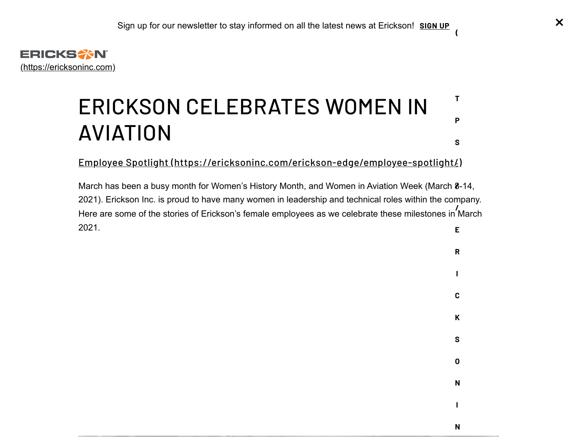<span id="page-0-0"></span>

### ERICKSON CELEBRATES WOMEN IN AVIATION **T P S**

Employee Spotlight [\(https://ericksoninc.com/erickson-edge/employee-spotlight/\)](https://ericksoninc.com/erickson-edge/employee-spotlight/) **:**

March has been a busy month for Women's History Month, and Women in Aviation Week (March 8-14, **/** 2021). Erickson Inc. is proud to have many women in leadership and technical roles within the company. Here are some of the stories of Erickson's female employees as we celebrate these milestones in March **/** 2021. **E**



**(**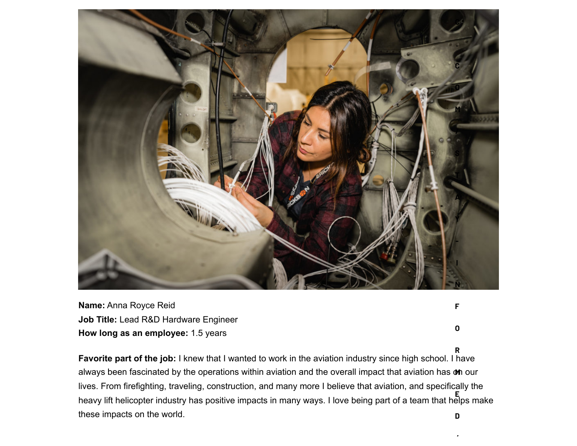

**Name:** Anna Royce Reid **Job Title:** Lead R&D Hardware Engineer **How long as an employee:** 1.5 years

**Favorite part of the job:** I knew that I wanted to work in the aviation industry since high school. I have always been fascinated by the operations within aviation and the overall impact that aviation has **on** our lives. From firefighting, traveling, construction, and many more I believe that aviation, and specifically the heavy lift helicopter industry has positive impacts in many ways. I love being part of a team that helps make these impacts on the world. **E D**

**/**

**O**

**R**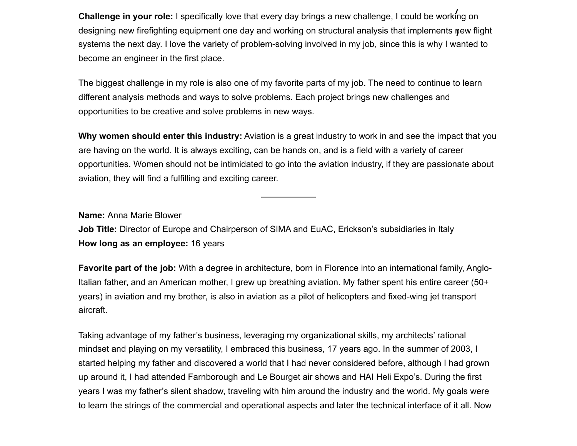**Challenge in your role:** I specifically love that every day brings a new challenge, I could be working on **/** designing new firefighting equipment one day and working on structural analysis that implements **ŋ**ew flight systems the next day. I love the variety of problem-solving involved in my job, since this is why I wanted to become an engineer in the first place.

The biggest challenge in my role is also one of my favorite parts of my job. The need to continue to learn different analysis methods and ways to solve problems. Each project brings new challenges and opportunities to be creative and solve problems in new ways.

**Why women should enter this industry:** Aviation is a great industry to work in and see the impact that you are having on the world. It is always exciting, can be hands on, and is a field with a variety of career opportunities. Women should not be intimidated to go into the aviation industry, if they are passionate about aviation, they will find a fulfilling and exciting career.

**Name:** Anna Marie Blower

**Job Title:** Director of Europe and Chairperson of SIMA and EuAC, Erickson's subsidiaries in Italy **How long as an employee:** 16 years

**Favorite part of the job:** With a degree in architecture, born in Florence into an international family, Anglo-Italian father, and an American mother, I grew up breathing aviation. My father spent his entire career (50+ years) in aviation and my brother, is also in aviation as a pilot of helicopters and fixed-wing jet transport aircraft.

Taking advantage of my father's business, leveraging my organizational skills, my architects' rational mindset and playing on my versatility, I embraced this business, 17 years ago. In the summer of 2003, I started helping my father and discovered a world that I had never considered before, although I had grown up around it, I had attended Farnborough and Le Bourget air shows and HAI Heli Expo's. During the first years I was my father's silent shadow, traveling with him around the industry and the world. My goals were to learn the strings of the commercial and operational aspects and later the technical interface of it all. Now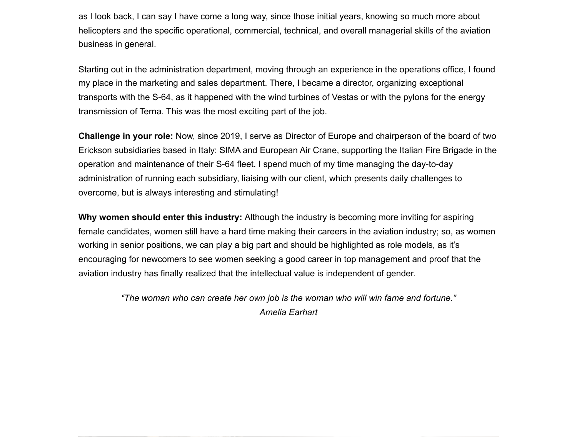as I look back, I can say I have come a long way, since those initial years, knowing so much more about helicopters and the specific operational, commercial, technical, and overall managerial skills of the aviation business in general.

Starting out in the administration department, moving through an experience in the operations office, I found my place in the marketing and sales department. There, I became a director, organizing exceptional transports with the S-64, as it happened with the wind turbines of Vestas or with the pylons for the energy transmission of Terna. This was the most exciting part of the job.

**Challenge in your role:** Now, since 2019, I serve as Director of Europe and chairperson of the board of two Erickson subsidiaries based in Italy: SIMA and European Air Crane, supporting the Italian Fire Brigade in the operation and maintenance of their S-64 fleet. I spend much of my time managing the day-to-day administration of running each subsidiary, liaising with our client, which presents daily challenges to overcome, but is always interesting and stimulating!

**Why women should enter this industry:** Although the industry is becoming more inviting for aspiring female candidates, women still have a hard time making their careers in the aviation industry; so, as women working in senior positions, we can play a big part and should be highlighted as role models, as it's encouraging for newcomers to see women seeking a good career in top management and proof that the aviation industry has finally realized that the intellectual value is independent of gender.

> *"The woman who can create her own job is the woman who will win fame and fortune." Amelia Earhart*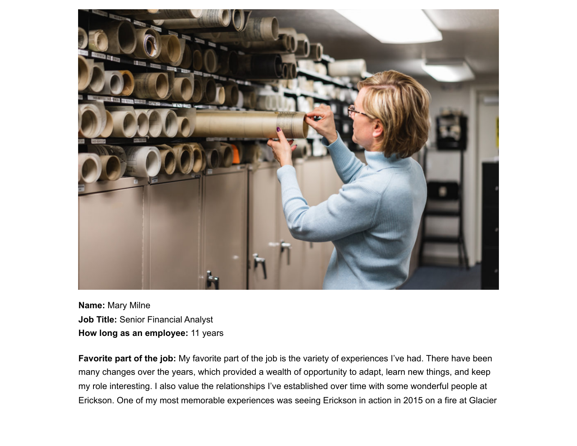

**Name:** Mary Milne **Job Title:** Senior Financial Analyst **How long as an employee:** 11 years

**Favorite part of the job:** My favorite part of the job is the variety of experiences I've had. There have been many changes over the years, which provided a wealth of opportunity to adapt, learn new things, and keep my role interesting. I also value the relationships I've established over time with some wonderful people at Erickson. One of my most memorable experiences was seeing Erickson in action in 2015 on a fire at Glacier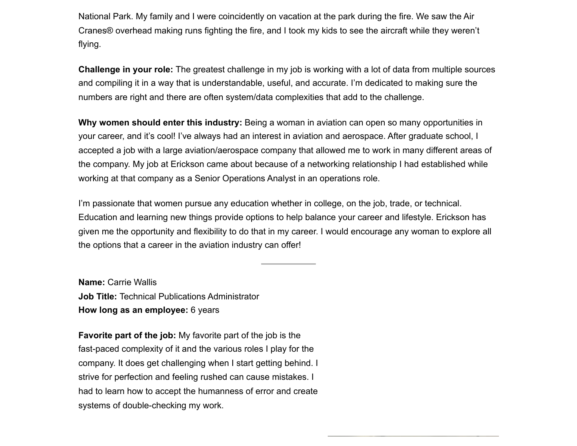National Park. My family and I were coincidently on vacation at the park during the fire. We saw the Air Cranes® overhead making runs fighting the fire, and I took my kids to see the aircraft while they weren't flying.

**Challenge in your role:** The greatest challenge in my job is working with a lot of data from multiple sources and compiling it in a way that is understandable, useful, and accurate. I'm dedicated to making sure the numbers are right and there are often system/data complexities that add to the challenge.

**Why women should enter this industry:** Being a woman in aviation can open so many opportunities in your career, and it's cool! I've always had an interest in aviation and aerospace. After graduate school, I accepted a job with a large aviation/aerospace company that allowed me to work in many different areas of the company. My job at Erickson came about because of a networking relationship I had established while working at that company as a Senior Operations Analyst in an operations role.

I'm passionate that women pursue any education whether in college, on the job, trade, or technical. Education and learning new things provide options to help balance your career and lifestyle. Erickson has given me the opportunity and flexibility to do that in my career. I would encourage any woman to explore all the options that a career in the aviation industry can offer!

**Name:** Carrie Wallis **Job Title:** Technical Publications Administrator **How long as an employee:** 6 years

**Favorite part of the job:** My favorite part of the job is the fast-paced complexity of it and the various roles I play for the company. It does get challenging when I start getting behind. I strive for perfection and feeling rushed can cause mistakes. I had to learn how to accept the humanness of error and create systems of double-checking my work.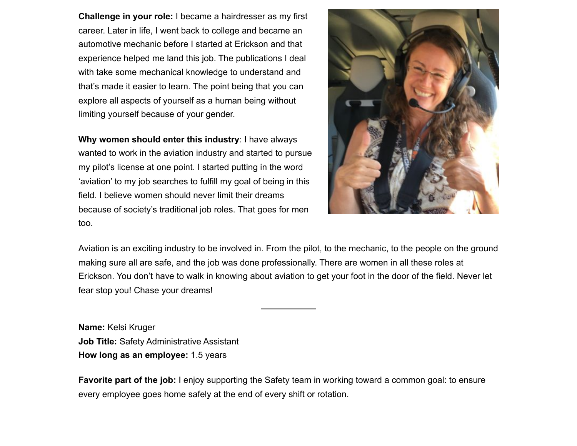**Challenge in your role:** I became a hairdresser as my first career. Later in life, I went back to college and became an automotive mechanic before I started at Erickson and that experience helped me land this job. The publications I deal with take some mechanical knowledge to understand and that's made it easier to learn. The point being that you can explore all aspects of yourself as a human being without limiting yourself because of your gender.

**Why women should enter this industry**: I have always wanted to work in the aviation industry and started to pursue my pilot's license at one point. I started putting in the word 'aviation' to my job searches to fulfill my goal of being in this field. I believe women should never limit their dreams because of society's traditional job roles. That goes for men too.



Aviation is an exciting industry to be involved in. From the pilot, to the mechanic, to the people on the ground making sure all are safe, and the job was done professionally. There are women in all these roles at Erickson. You don't have to walk in knowing about aviation to get your foot in the door of the field. Never let fear stop you! Chase your dreams!

**Name:** Kelsi Kruger **Job Title:** Safety Administrative Assistant **How long as an employee:** 1.5 years

**Favorite part of the job:** I enjoy supporting the Safety team in working toward a common goal: to ensure every employee goes home safely at the end of every shift or rotation.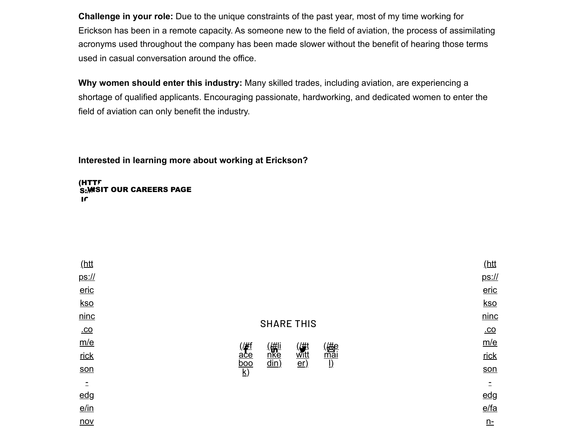**Challenge in your role:** Due to the unique constraints of the past year, most of my time working for Erickson has been in a remote capacity. As someone new to the field of aviation, the process of assimilating acronyms used throughout the company has been made slower without the benefit of hearing those terms used in casual conversation around the office.

**Why women should enter this industry:** Many skilled trades, including aviation, are experiencing a shortage of qualified applicants. Encouraging passionate, hardworking, and dedicated women to enter the field of aviation can only benefit the industry.

**Interested in learning more about working at Erickson?**

(HTTP S:*)*MSIT OUR CAREERS PAGE  $\mathbf{r}$ 

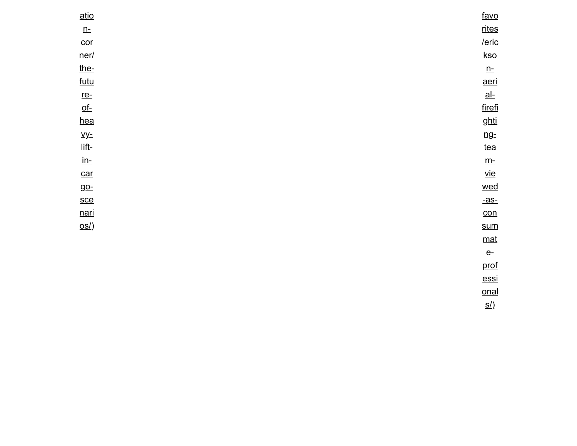| atio                     | favo              |
|--------------------------|-------------------|
| $n$ -                    | rites             |
| $\overline{\text{cor}}$  | $/$ eric          |
| ner/                     | <u>kso</u>        |
| the-                     | $\underline{n}$ : |
| <u>futu</u>              | aeri              |
| $re-$                    | $al-$             |
| $\underline{\text{of}}$  | firefi            |
| hea                      | <u>ghti</u>       |
| $y$                      | ng <sub>z</sub>   |
| <u>lift-</u>             | tea               |
| $\underline{\text{in-}}$ | $\underline{m}$ - |
| car                      | <u>vie</u>        |
| <u>go-</u>               | wed               |
| <u>sce</u>               | <u>-as-</u>       |
| <u>nari</u>              | con               |
| OS/                      | <u>sum</u>        |
|                          | $mat$             |
|                          | $e-$              |
|                          | prof              |

**essi** [onal](https://ericksoninc.com/erickson-edge/fan-favorites/erickson-aerial-firefighting-team-viewed-as-consummate-professionals/) s/)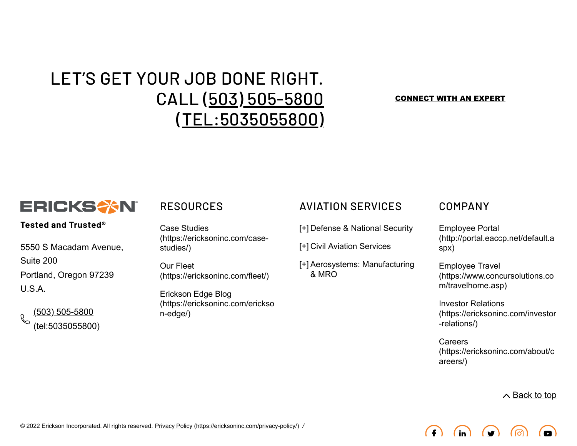# LET'S GET YOUR JOB DONE RIGHT. CALL (503) 505-5800 [\(TEL:5035055800\)](tel:5035055800)

#### [CONNECT WITH AN EXPERT](javascript:;)



### **Tested and Trusted®**

5550 S Macadam Avenue, Suite 200 Portland, Oregon 97239 U.S.A.

(503) 505-5800 [\(tel:5035055800\)](tel:5035055800)

Case Studies [\(https://ericksoninc.com/case](https://ericksoninc.com/case-studies/)studies/)

Our Fleet [\(https://ericksoninc.com/fleet/\)](https://ericksoninc.com/fleet/)

Erickson Edge Blog [\(https://ericksoninc.com/erickso](https://ericksoninc.com/erickson-edge/) n-edge/)

## RESOURCES AVIATION SERVICES COMPANY

[+] Defense & National Security

[+] Civil Aviation Services

Aerosystems: Manufacturing [+] & MRO

Employee Portal [\(http://portal.eaccp.net/default.a](http://portal.eaccp.net/default.aspx) spx)

Employee Travel [\(https://www.concursolutions.co](https://www.concursolutions.com/travelhome.asp) m/travelhome.asp)

Investor Relations [\(https://ericksoninc.com/investor](https://ericksoninc.com/investor-relations/) -relations/)

Careers [\(https://ericksoninc.com/about/c](https://ericksoninc.com/about/careers/) areers/)

 $\land$  [Back to top](#page-0-0)